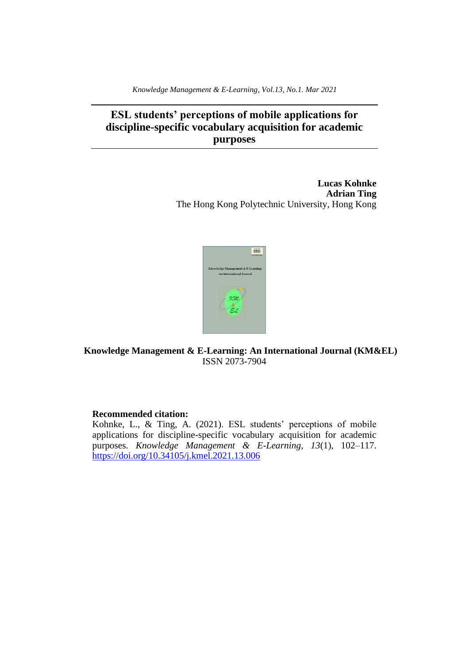*Knowledge Management & E-Learning, Vol.13, No.1. Mar 2021*

# **ESL students' perceptions of mobile applications for discipline-specific vocabulary acquisition for academic purposes**

**Lucas Kohnke Adrian Ting** The Hong Kong Polytechnic University, Hong Kong



**Knowledge Management & E-Learning: An International Journal (KM&EL)** ISSN 2073-7904

# **Recommended citation:**

Kohnke, L., & Ting, A. (2021). ESL students' perceptions of mobile applications for discipline-specific vocabulary acquisition for academic purposes. *Knowledge Management & E-Learning, 13*(1), 102–117. <https://doi.org/10.34105/j.kmel.2021.13.006>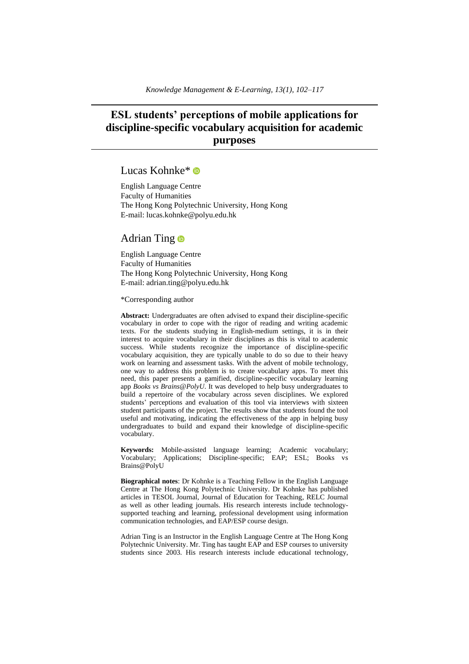# **ESL students' perceptions of mobile applications for discipline-specific vocabulary acquisition for academic purposes**

# Lucas Kohnke<sup>\*</sup>

English Language Centre Faculty of Humanities The Hong Kong Polytechnic University, Hong Kong E-mail: lucas.kohnke@polyu.edu.hk

# Adrian Ting **D**

English Language Centre Faculty of Humanities The Hong Kong Polytechnic University, Hong Kong E-mail: adrian.ting@polyu.edu.hk

\*Corresponding author

**Abstract:** Undergraduates are often advised to expand their discipline-specific vocabulary in order to cope with the rigor of reading and writing academic texts. For the students studying in English-medium settings, it is in their interest to acquire vocabulary in their disciplines as this is vital to academic success. While students recognize the importance of discipline-specific vocabulary acquisition, they are typically unable to do so due to their heavy work on learning and assessment tasks. With the advent of mobile technology, one way to address this problem is to create vocabulary apps. To meet this need, this paper presents a gamified, discipline-specific vocabulary learning app *Books vs Brains@PolyU*. It was developed to help busy undergraduates to build a repertoire of the vocabulary across seven disciplines. We explored students' perceptions and evaluation of this tool via interviews with sixteen student participants of the project. The results show that students found the tool useful and motivating, indicating the effectiveness of the app in helping busy undergraduates to build and expand their knowledge of discipline-specific vocabulary.

**Keywords:** Mobile-assisted language learning; Academic vocabulary; Vocabulary; Applications; Discipline-specific; EAP; ESL; Books vs Brains@PolyU

**Biographical notes**: Dr Kohnke is a Teaching Fellow in the English Language Centre at The Hong Kong Polytechnic University. Dr Kohnke has published articles in TESOL Journal, Journal of Education for Teaching, RELC Journal as well as other leading journals. His research interests include technologysupported teaching and learning, professional development using information communication technologies, and EAP/ESP course design.

Adrian Ting is an Instructor in the English Language Centre at The Hong Kong Polytechnic University. Mr. Ting has taught EAP and ESP courses to university students since 2003. His research interests include educational technology,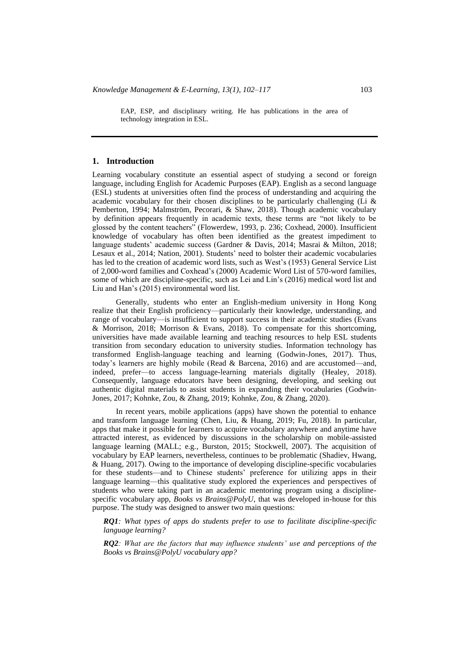EAP, ESP, and disciplinary writing. He has publications in the area of technology integration in ESL.

#### **1. Introduction**

Learning vocabulary constitute an essential aspect of studying a second or foreign language, including English for Academic Purposes (EAP). English as a second language (ESL) students at universities often find the process of understanding and acquiring the academic vocabulary for their chosen disciplines to be particularly challenging (Li  $\&$ Pemberton, 1994; Malmström, Pecorari, & Shaw, 2018). Though academic vocabulary by definition appears frequently in academic texts, these terms are "not likely to be glossed by the content teachers" (Flowerdew, 1993, p. 236; Coxhead, 2000). Insufficient knowledge of vocabulary has often been identified as the greatest impediment to language students' academic success (Gardner & Davis, 2014; Masrai & Milton, 2018; Lesaux et al., 2014; Nation, 2001). Students' need to bolster their academic vocabularies has led to the creation of academic word lists, such as West's (1953) General Service List of 2,000-word families and Coxhead's (2000) Academic Word List of 570-word families, some of which are discipline-specific, such as Lei and Lin's (2016) medical word list and Liu and Han's (2015) environmental word list.

Generally, students who enter an English-medium university in Hong Kong realize that their English proficiency—particularly their knowledge, understanding, and range of vocabulary—is insufficient to support success in their academic studies (Evans & Morrison, 2018; Morrison & Evans, 2018). To compensate for this shortcoming, universities have made available learning and teaching resources to help ESL students transition from secondary education to university studies. Information technology has transformed English-language teaching and learning (Godwin-Jones, 2017). Thus, today's learners are highly mobile (Read & Barcena, 2016) and are accustomed—and, indeed, prefer—to access language-learning materials digitally (Healey, 2018). Consequently, language educators have been designing, developing, and seeking out authentic digital materials to assist students in expanding their vocabularies (Godwin-Jones, 2017; Kohnke, Zou, & Zhang, 2019; Kohnke, Zou, & Zhang, 2020).

In recent years, mobile applications (apps) have shown the potential to enhance and transform language learning (Chen, Liu, & Huang, 2019; Fu, 2018). In particular, apps that make it possible for learners to acquire vocabulary anywhere and anytime have attracted interest, as evidenced by discussions in the scholarship on mobile-assisted language learning (MALL; e.g., Burston, 2015; Stockwell, 2007). The acquisition of vocabulary by EAP learners, nevertheless, continues to be problematic (Shadiev, Hwang, & Huang, 2017). Owing to the importance of developing discipline-specific vocabularies for these students—and to Chinese students' preference for utilizing apps in their language learning—this qualitative study explored the experiences and perspectives of students who were taking part in an academic mentoring program using a disciplinespecific vocabulary app, *Books vs Brains@PolyU*, that was developed in-house for this purpose. The study was designed to answer two main questions:

*RQ1: What types of apps do students prefer to use to facilitate discipline-specific language learning?*

*RQ2: What are the factors that may influence students' use and perceptions of the Books vs Brains@PolyU vocabulary app?*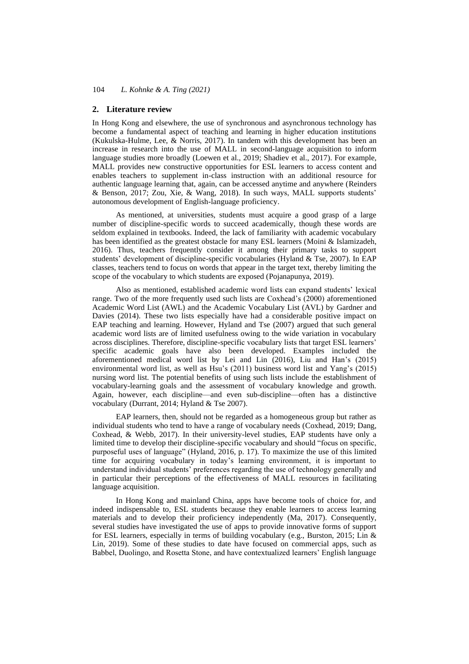#### **2. Literature review**

In Hong Kong and elsewhere, the use of synchronous and asynchronous technology has become a fundamental aspect of teaching and learning in higher education institutions (Kukulska-Hulme, Lee,  $\&$  Norris, 2017). In tandem with this development has been an increase in research into the use of MALL in second-language acquisition to inform language studies more broadly (Loewen et al., 2019; Shadiev et al., 2017). For example, MALL provides new constructive opportunities for ESL learners to access content and enables teachers to supplement in-class instruction with an additional resource for authentic language learning that, again, can be accessed anytime and anywhere (Reinders & Benson, 2017; Zou, Xie, & Wang, 2018). In such ways, MALL supports students' autonomous development of English-language proficiency.

As mentioned, at universities, students must acquire a good grasp of a large number of discipline-specific words to succeed academically, though these words are seldom explained in textbooks. Indeed, the lack of familiarity with academic vocabulary has been identified as the greatest obstacle for many ESL learners (Moini & Islamizadeh, 2016). Thus, teachers frequently consider it among their primary tasks to support students' development of discipline-specific vocabularies (Hyland & Tse, 2007). In EAP classes, teachers tend to focus on words that appear in the target text, thereby limiting the scope of the vocabulary to which students are exposed (Pojanapunya, 2019).

Also as mentioned, established academic word lists can expand students' lexical range. Two of the more frequently used such lists are Coxhead's (2000) aforementioned Academic Word List (AWL) and the Academic Vocabulary List (AVL) by Gardner and Davies (2014). These two lists especially have had a considerable positive impact on EAP teaching and learning. However, Hyland and Tse (2007) argued that such general academic word lists are of limited usefulness owing to the wide variation in vocabulary across disciplines. Therefore, discipline-specific vocabulary lists that target ESL learners' specific academic goals have also been developed. Examples included the aforementioned medical word list by Lei and Lin (2016), Liu and Han's (2015) environmental word list, as well as Hsu's (2011) business word list and Yang's (2015) nursing word list. The potential benefits of using such lists include the establishment of vocabulary-learning goals and the assessment of vocabulary knowledge and growth. Again, however, each discipline—and even sub-discipline—often has a distinctive vocabulary (Durrant, 2014; Hyland & Tse 2007).

EAP learners, then, should not be regarded as a homogeneous group but rather as individual students who tend to have a range of vocabulary needs (Coxhead, 2019; Dang, Coxhead, & Webb, 2017). In their university-level studies, EAP students have only a limited time to develop their discipline-specific vocabulary and should "focus on specific, purposeful uses of language" (Hyland, 2016, p. 17). To maximize the use of this limited time for acquiring vocabulary in today's learning environment, it is important to understand individual students' preferences regarding the use of technology generally and in particular their perceptions of the effectiveness of MALL resources in facilitating language acquisition.

In Hong Kong and mainland China, apps have become tools of choice for, and indeed indispensable to, ESL students because they enable learners to access learning materials and to develop their proficiency independently (Ma, 2017). Consequently, several studies have investigated the use of apps to provide innovative forms of support for ESL learners, especially in terms of building vocabulary (e.g., Burston, 2015; Lin & Lin, 2019). Some of these studies to date have focused on commercial apps, such as Babbel, Duolingo, and Rosetta Stone, and have contextualized learners' English language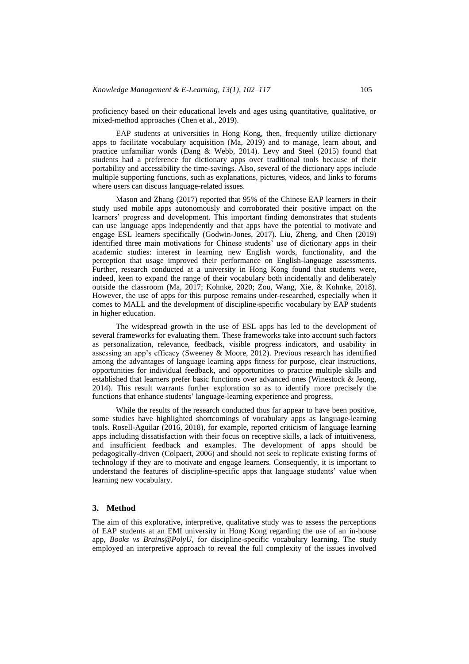proficiency based on their educational levels and ages using quantitative, qualitative, or mixed-method approaches (Chen et al., 2019).

EAP students at universities in Hong Kong, then, frequently utilize dictionary apps to facilitate vocabulary acquisition (Ma, 2019) and to manage, learn about, and practice unfamiliar words (Dang & Webb, 2014). Levy and Steel (2015) found that students had a preference for dictionary apps over traditional tools because of their portability and accessibility the time-savings. Also, several of the dictionary apps include multiple supporting functions, such as explanations, pictures, videos, and links to forums where users can discuss language-related issues.

Mason and Zhang (2017) reported that 95% of the Chinese EAP learners in their study used mobile apps autonomously and corroborated their positive impact on the learners' progress and development. This important finding demonstrates that students can use language apps independently and that apps have the potential to motivate and engage ESL learners specifically (Godwin-Jones, 2017). Liu, Zheng, and Chen (2019) identified three main motivations for Chinese students' use of dictionary apps in their academic studies: interest in learning new English words, functionality, and the perception that usage improved their performance on English-language assessments. Further, research conducted at a university in Hong Kong found that students were, indeed, keen to expand the range of their vocabulary both incidentally and deliberately outside the classroom (Ma, 2017; Kohnke, 2020; Zou, Wang, Xie, & Kohnke, 2018). However, the use of apps for this purpose remains under-researched, especially when it comes to MALL and the development of discipline-specific vocabulary by EAP students in higher education.

The widespread growth in the use of ESL apps has led to the development of several frameworks for evaluating them. These frameworks take into account such factors as personalization, relevance, feedback, visible progress indicators, and usability in assessing an app's efficacy (Sweeney & Moore, 2012). Previous research has identified among the advantages of language learning apps fitness for purpose, clear instructions, opportunities for individual feedback, and opportunities to practice multiple skills and established that learners prefer basic functions over advanced ones (Winestock & Jeong, 2014). This result warrants further exploration so as to identify more precisely the functions that enhance students' language-learning experience and progress.

While the results of the research conducted thus far appear to have been positive, some studies have highlighted shortcomings of vocabulary apps as language-learning tools. Rosell-Aguilar (2016, 2018), for example, reported criticism of language learning apps including dissatisfaction with their focus on receptive skills, a lack of intuitiveness, and insufficient feedback and examples. The development of apps should be pedagogically-driven (Colpaert, 2006) and should not seek to replicate existing forms of technology if they are to motivate and engage learners. Consequently, it is important to understand the features of discipline-specific apps that language students' value when learning new vocabulary.

#### **3. Method**

The aim of this explorative, interpretive, qualitative study was to assess the perceptions of EAP students at an EMI university in Hong Kong regarding the use of an in-house app, *Books vs Brains@PolyU*, for discipline-specific vocabulary learning. The study employed an interpretive approach to reveal the full complexity of the issues involved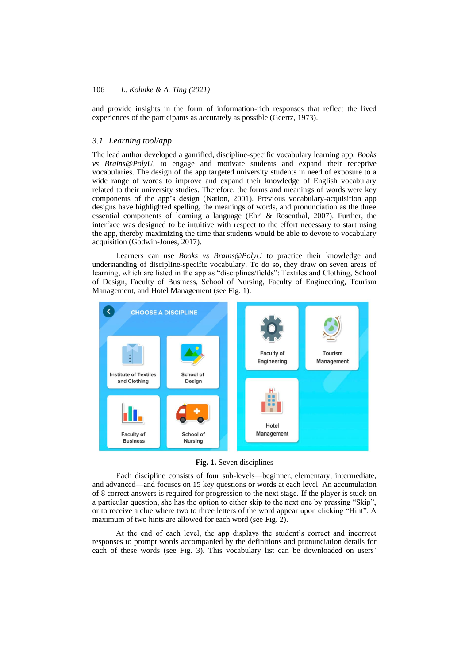and provide insights in the form of information-rich responses that reflect the lived experiences of the participants as accurately as possible (Geertz, 1973).

# *3.1. Learning tool/app*

The lead author developed a gamified, discipline-specific vocabulary learning app, *Books vs Brains@PolyU*, to engage and motivate students and expand their receptive vocabularies. The design of the app targeted university students in need of exposure to a wide range of words to improve and expand their knowledge of English vocabulary related to their university studies. Therefore, the forms and meanings of words were key components of the app's design (Nation, 2001). Previous vocabulary-acquisition app designs have highlighted spelling, the meanings of words, and pronunciation as the three essential components of learning a language (Ehri & Rosenthal, 2007). Further, the interface was designed to be intuitive with respect to the effort necessary to start using the app, thereby maximizing the time that students would be able to devote to vocabulary acquisition (Godwin-Jones, 2017).

Learners can use *Books vs Brains@PolyU* to practice their knowledge and understanding of discipline-specific vocabulary. To do so, they draw on seven areas of learning, which are listed in the app as "disciplines/fields": Textiles and Clothing, School of Design, Faculty of Business, School of Nursing, Faculty of Engineering, Tourism Management, and Hotel Management (see Fig. 1).



**Fig. 1.** Seven disciplines

Each discipline consists of four sub-levels—beginner, elementary, intermediate, and advanced—and focuses on 15 key questions or words at each level. An accumulation of 8 correct answers is required for progression to the next stage. If the player is stuck on a particular question, she has the option to either skip to the next one by pressing "Skip", or to receive a clue where two to three letters of the word appear upon clicking "Hint". A maximum of two hints are allowed for each word (see Fig. 2).

At the end of each level, the app displays the student's correct and incorrect responses to prompt words accompanied by the definitions and pronunciation details for each of these words (see Fig. 3). This vocabulary list can be downloaded on users'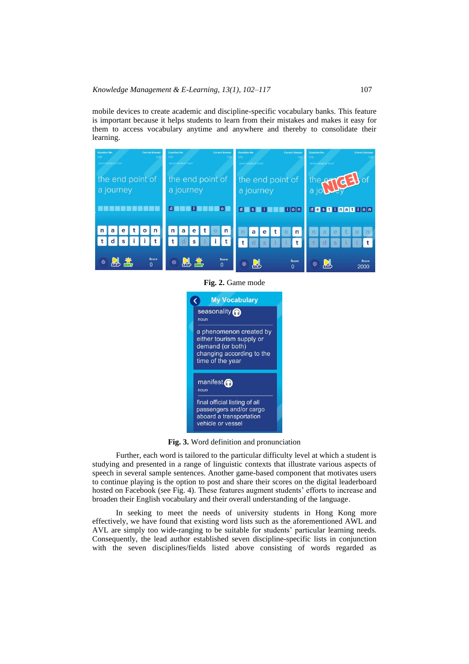mobile devices to create academic and discipline-specific vocabulary banks. This feature is important because it helps students to learn from their mistakes and makes it easy for them to access vocabulary anytime and anywhere and thereby to consolidate their learning.



**Fig. 2.** Game mode



**Fig. 3.** Word definition and pronunciation

Further, each word is tailored to the particular difficulty level at which a student is studying and presented in a range of linguistic contexts that illustrate various aspects of speech in several sample sentences. Another game-based component that motivates users to continue playing is the option to post and share their scores on the digital leaderboard hosted on Facebook (see Fig. 4). These features augment students' efforts to increase and broaden their English vocabulary and their overall understanding of the language.

In seeking to meet the needs of university students in Hong Kong more effectively, we have found that existing word lists such as the aforementioned AWL and AVL are simply too wide-ranging to be suitable for students' particular learning needs. Consequently, the lead author established seven discipline-specific lists in conjunction with the seven disciplines/fields listed above consisting of words regarded as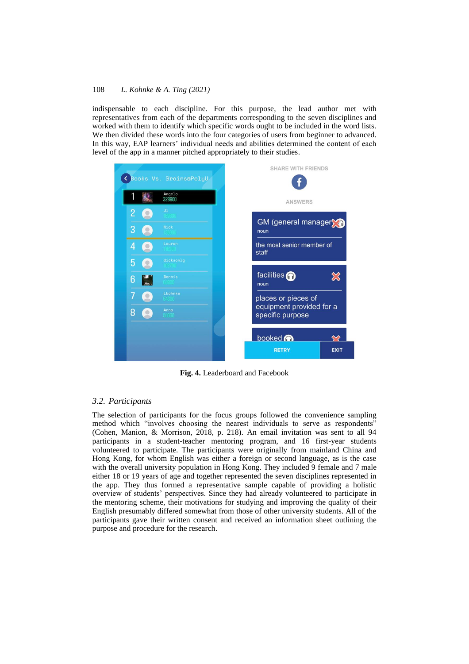indispensable to each discipline. For this purpose, the lead author met with representatives from each of the departments corresponding to the seven disciplines and worked with them to identify which specific words ought to be included in the word lists. We then divided these words into the four categories of users from beginner to advanced. In this way, EAP learners' individual needs and abilities determined the content of each level of the app in a manner pitched appropriately to their studies.



**Fig. 4.** Leaderboard and Facebook

#### *3.2. Participants*

The selection of participants for the focus groups followed the convenience sampling method which "involves choosing the nearest individuals to serve as respondents" (Cohen, Manion, & Morrison, 2018, p. 218). An email invitation was sent to all 94 participants in a student-teacher mentoring program, and 16 first-year students volunteered to participate. The participants were originally from mainland China and Hong Kong, for whom English was either a foreign or second language, as is the case with the overall university population in Hong Kong. They included 9 female and 7 male either 18 or 19 years of age and together represented the seven disciplines represented in the app. They thus formed a representative sample capable of providing a holistic overview of students' perspectives. Since they had already volunteered to participate in the mentoring scheme, their motivations for studying and improving the quality of their English presumably differed somewhat from those of other university students. All of the participants gave their written consent and received an information sheet outlining the purpose and procedure for the research.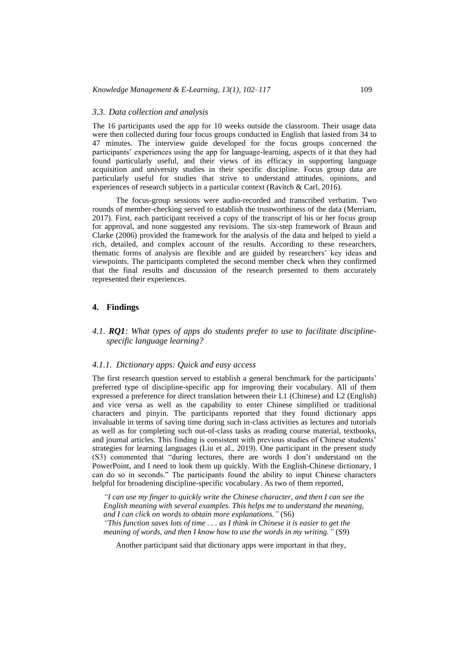#### *3.3. Data collection and analysis*

The 16 participants used the app for 10 weeks outside the classroom. Their usage data were then collected during four focus groups conducted in English that lasted from 34 to 47 minutes. The interview guide developed for the focus groups concerned the participants' experiences using the app for language-learning, aspects of it that they had found particularly useful, and their views of its efficacy in supporting language acquisition and university studies in their specific discipline. Focus group data are particularly useful for studies that strive to understand attitudes, opinions, and experiences of research subjects in a particular context (Ravitch & Carl, 2016).

The focus-group sessions were audio-recorded and transcribed verbatim. Two rounds of member-checking served to establish the trustworthiness of the data (Merriam, 2017). First, each participant received a copy of the transcript of his or her focus group for approval, and none suggested any revisions. The six-step framework of Braun and Clarke (2006) provided the framework for the analysis of the data and helped to yield a rich, detailed, and complex account of the results. According to these researchers, thematic forms of analysis are flexible and are guided by researchers' key ideas and viewpoints. The participants completed the second member check when they confirmed that the final results and discussion of the research presented to them accurately represented their experiences.

### **4. Findings**

# *4.1. RQ1: What types of apps do students prefer to use to facilitate disciplinespecific language learning?*

#### *4.1.1. Dictionary apps: Quick and easy access*

The first research question served to establish a general benchmark for the participants' preferred type of discipline-specific app for improving their vocabulary. All of them expressed a preference for direct translation between their L1 (Chinese) and L2 (English) and vice versa as well as the capability to enter Chinese simplified or traditional characters and pinyin. The participants reported that they found dictionary apps invaluable in terms of saving time during such in-class activities as lectures and tutorials as well as for completing such out-of-class tasks as reading course material, textbooks, and journal articles. This finding is consistent with previous studies of Chinese students' strategies for learning languages (Liu et al., 2019). One participant in the present study (S3) commented that "during lectures, there are words I don't understand on the PowerPoint, and I need to look them up quickly. With the English-Chinese dictionary, I can do so in seconds." The participants found the ability to input Chinese characters helpful for broadening discipline-specific vocabulary. As two of them reported,

*"I can use my finger to quickly write the Chinese character, and then I can see the English meaning with several examples. This helps me to understand the meaning, and I can click on words to obtain more explanations."* (S6) *"This function saves lots of time . . . as I think in Chinese it is easier to get the meaning of words, and then I know how to use the words in my writing."* (S9)

Another participant said that dictionary apps were important in that they,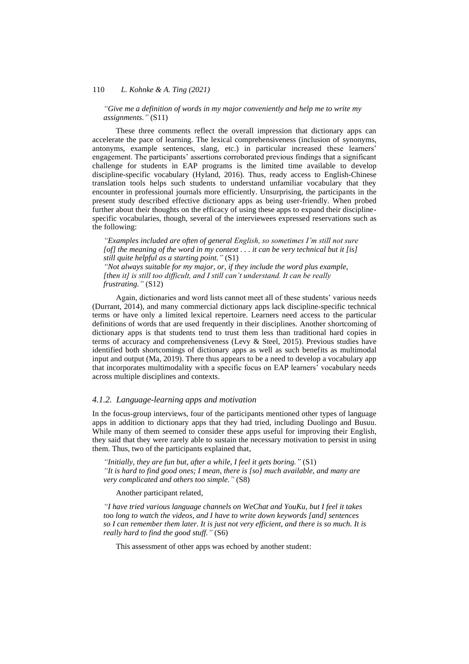*"Give me a definition of words in my major conveniently and help me to write my assignments."* (S11)

These three comments reflect the overall impression that dictionary apps can accelerate the pace of learning. The lexical comprehensiveness (inclusion of synonyms, antonyms, example sentences, slang, etc.) in particular increased these learners' engagement. The participants' assertions corroborated previous findings that a significant challenge for students in EAP programs is the limited time available to develop discipline-specific vocabulary (Hyland, 2016). Thus, ready access to English-Chinese translation tools helps such students to understand unfamiliar vocabulary that they encounter in professional journals more efficiently. Unsurprising, the participants in the present study described effective dictionary apps as being user-friendly. When probed further about their thoughts on the efficacy of using these apps to expand their disciplinespecific vocabularies, though, several of the interviewees expressed reservations such as the following:

*"Examples included are often of general English, so sometimes I'm still not sure [of] the meaning of the word in my context . . . it can be very technical but it [is] still quite helpful as a starting point."* (S1) *"Not always suitable for my major, or, if they include the word plus example, [then it] is still too difficult, and I still can't understand. It can be really frustrating."* (S12)

Again, dictionaries and word lists cannot meet all of these students' various needs (Durrant, 2014), and many commercial dictionary apps lack discipline-specific technical terms or have only a limited lexical repertoire. Learners need access to the particular definitions of words that are used frequently in their disciplines. Another shortcoming of dictionary apps is that students tend to trust them less than traditional hard copies in terms of accuracy and comprehensiveness (Levy & Steel, 2015). Previous studies have identified both shortcomings of dictionary apps as well as such benefits as multimodal input and output (Ma, 2019). There thus appears to be a need to develop a vocabulary app that incorporates multimodality with a specific focus on EAP learners' vocabulary needs across multiple disciplines and contexts.

#### *4.1.2. Language-learning apps and motivation*

In the focus-group interviews, four of the participants mentioned other types of language apps in addition to dictionary apps that they had tried, including Duolingo and Busuu. While many of them seemed to consider these apps useful for improving their English, they said that they were rarely able to sustain the necessary motivation to persist in using them. Thus, two of the participants explained that,

*"Initially, they are fun but, after a while, I feel it gets boring."* (S1) *"It is hard to find good ones; I mean, there is [so] much available, and many are very complicated and others too simple."* (S8)

Another participant related,

*"I have tried various language channels on WeChat and YouKu, but I feel it takes too long to watch the videos, and I have to write down keywords [and] sentences so I can remember them later. It is just not very efficient, and there is so much. It is really hard to find the good stuff."* (S6)

This assessment of other apps was echoed by another student: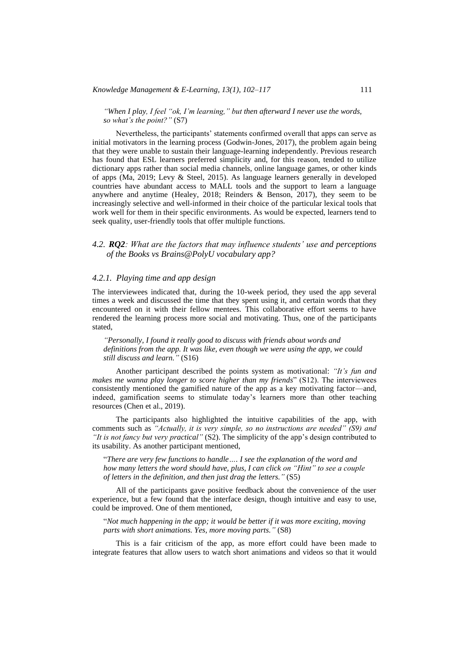*"When I play, I feel "ok, I'm learning," but then afterward I never use the words, so what's the point?"* (S7)

Nevertheless, the participants' statements confirmed overall that apps can serve as initial motivators in the learning process (Godwin-Jones, 2017), the problem again being that they were unable to sustain their language-learning independently. Previous research has found that ESL learners preferred simplicity and, for this reason, tended to utilize dictionary apps rather than social media channels, online language games, or other kinds of apps (Ma, 2019; Levy & Steel, 2015). As language learners generally in developed countries have abundant access to MALL tools and the support to learn a language anywhere and anytime (Healey, 2018; Reinders & Benson, 2017), they seem to be increasingly selective and well-informed in their choice of the particular lexical tools that work well for them in their specific environments. As would be expected, learners tend to seek quality, user-friendly tools that offer multiple functions.

### *4.2. RQ2: What are the factors that may influence students' use and perceptions of the Books vs Brains@PolyU vocabulary app?*

### *4.2.1. Playing time and app design*

The interviewees indicated that, during the 10-week period, they used the app several times a week and discussed the time that they spent using it, and certain words that they encountered on it with their fellow mentees. This collaborative effort seems to have rendered the learning process more social and motivating. Thus, one of the participants stated,

*"Personally, I found it really good to discuss with friends about words and definitions from the app. It was like, even though we were using the app, we could still discuss and learn."* (S16)

Another participant described the points system as motivational: *"It's fun and makes me wanna play longer to score higher than my friends*" (S12). The interviewees consistently mentioned the gamified nature of the app as a key motivating factor—and, indeed, gamification seems to stimulate today's learners more than other teaching resources (Chen et al., 2019).

The participants also highlighted the intuitive capabilities of the app, with comments such as *"Actually, it is very simple, so no instructions are needed" (S9) and "It is not fancy but very practical"* (S2). The simplicity of the app's design contributed to its usability. As another participant mentioned,

"*There are very few functions to handle…. I see the explanation of the word and how many letters the word should have, plus, I can click on "Hint" to see a couple of letters in the definition, and then just drag the letters."* (S5)

All of the participants gave positive feedback about the convenience of the user experience, but a few found that the interface design, though intuitive and easy to use, could be improved. One of them mentioned,

"*Not much happening in the app; it would be better if it was more exciting, moving parts with short animations. Yes, more moving parts."* (S8)

This is a fair criticism of the app, as more effort could have been made to integrate features that allow users to watch short animations and videos so that it would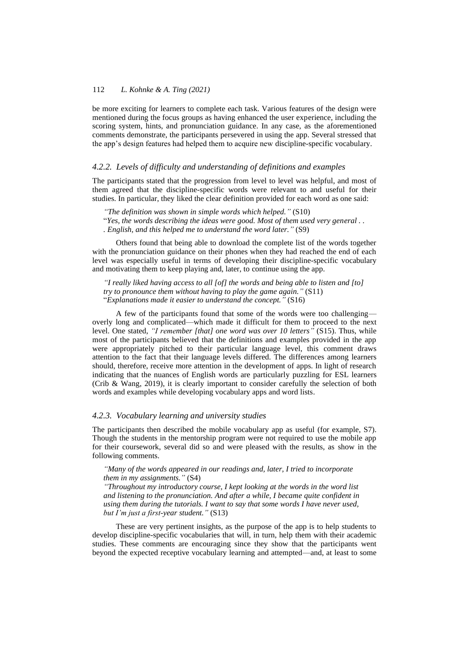be more exciting for learners to complete each task. Various features of the design were mentioned during the focus groups as having enhanced the user experience, including the scoring system, hints, and pronunciation guidance. In any case, as the aforementioned comments demonstrate, the participants persevered in using the app. Several stressed that the app's design features had helped them to acquire new discipline-specific vocabulary.

#### *4.2.2. Levels of difficulty and understanding of definitions and examples*

The participants stated that the progression from level to level was helpful, and most of them agreed that the discipline-specific words were relevant to and useful for their studies. In particular, they liked the clear definition provided for each word as one said:

*"The definition was shown in simple words which helped."* (S10) "*Yes, the words describing the ideas were good. Most of them used very general . . . English, and this helped me to understand the word later."* (S9)

Others found that being able to download the complete list of the words together with the pronunciation guidance on their phones when they had reached the end of each level was especially useful in terms of developing their discipline-specific vocabulary and motivating them to keep playing and, later, to continue using the app.

*"I really liked having access to all [of] the words and being able to listen and [to] try to pronounce them without having to play the game again."* (S11) "*Explanations made it easier to understand the concept."* (S16)

A few of the participants found that some of the words were too challenging overly long and complicated—which made it difficult for them to proceed to the next level. One stated, *"I remember [that] one word was over 10 letters"* (S15). Thus, while most of the participants believed that the definitions and examples provided in the app were appropriately pitched to their particular language level, this comment draws attention to the fact that their language levels differed. The differences among learners should, therefore, receive more attention in the development of apps. In light of research indicating that the nuances of English words are particularly puzzling for ESL learners (Crib & Wang, 2019), it is clearly important to consider carefully the selection of both words and examples while developing vocabulary apps and word lists.

#### *4.2.3. Vocabulary learning and university studies*

The participants then described the mobile vocabulary app as useful (for example, S7). Though the students in the mentorship program were not required to use the mobile app for their coursework, several did so and were pleased with the results, as show in the following comments.

*"Many of the words appeared in our readings and, later, I tried to incorporate them in my assignments."* (S4)

*"Throughout my introductory course, I kept looking at the words in the word list and listening to the pronunciation. And after a while, I became quite confident in using them during the tutorials. I want to say that some words I have never used, but I'm just a first-year student."* (S13)

These are very pertinent insights, as the purpose of the app is to help students to develop discipline-specific vocabularies that will, in turn, help them with their academic studies. These comments are encouraging since they show that the participants went beyond the expected receptive vocabulary learning and attempted—and, at least to some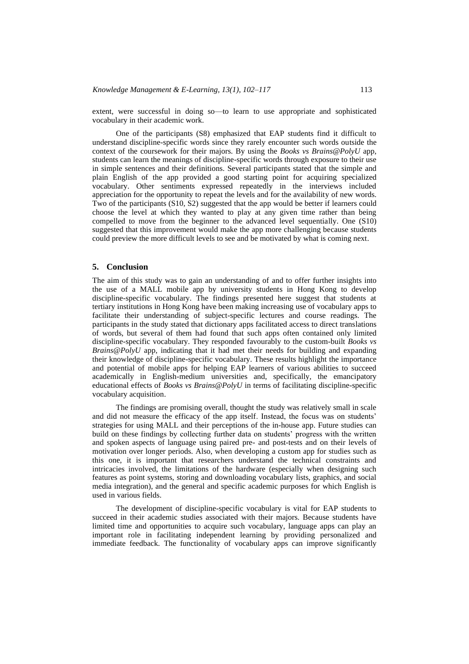extent, were successful in doing so—to learn to use appropriate and sophisticated vocabulary in their academic work.

One of the participants (S8) emphasized that EAP students find it difficult to understand discipline-specific words since they rarely encounter such words outside the context of the coursework for their majors. By using the *Books vs Brains@PolyU* app, students can learn the meanings of discipline-specific words through exposure to their use in simple sentences and their definitions. Several participants stated that the simple and plain English of the app provided a good starting point for acquiring specialized vocabulary. Other sentiments expressed repeatedly in the interviews included appreciation for the opportunity to repeat the levels and for the availability of new words. Two of the participants (S10, S2) suggested that the app would be better if learners could choose the level at which they wanted to play at any given time rather than being compelled to move from the beginner to the advanced level sequentially. One (S10) suggested that this improvement would make the app more challenging because students could preview the more difficult levels to see and be motivated by what is coming next.

#### **5. Conclusion**

The aim of this study was to gain an understanding of and to offer further insights into the use of a MALL mobile app by university students in Hong Kong to develop discipline-specific vocabulary. The findings presented here suggest that students at tertiary institutions in Hong Kong have been making increasing use of vocabulary apps to facilitate their understanding of subject-specific lectures and course readings. The participants in the study stated that dictionary apps facilitated access to direct translations of words, but several of them had found that such apps often contained only limited discipline-specific vocabulary. They responded favourably to the custom-built *Books vs Brains@PolyU* app, indicating that it had met their needs for building and expanding their knowledge of discipline-specific vocabulary. These results highlight the importance and potential of mobile apps for helping EAP learners of various abilities to succeed academically in English-medium universities and, specifically, the emancipatory educational effects of *Books vs Brains@PolyU* in terms of facilitating discipline-specific vocabulary acquisition.

The findings are promising overall, thought the study was relatively small in scale and did not measure the efficacy of the app itself. Instead, the focus was on students' strategies for using MALL and their perceptions of the in-house app. Future studies can build on these findings by collecting further data on students' progress with the written and spoken aspects of language using paired pre- and post-tests and on their levels of motivation over longer periods. Also, when developing a custom app for studies such as this one, it is important that researchers understand the technical constraints and intricacies involved, the limitations of the hardware (especially when designing such features as point systems, storing and downloading vocabulary lists, graphics, and social media integration), and the general and specific academic purposes for which English is used in various fields.

The development of discipline-specific vocabulary is vital for EAP students to succeed in their academic studies associated with their majors. Because students have limited time and opportunities to acquire such vocabulary, language apps can play an important role in facilitating independent learning by providing personalized and immediate feedback. The functionality of vocabulary apps can improve significantly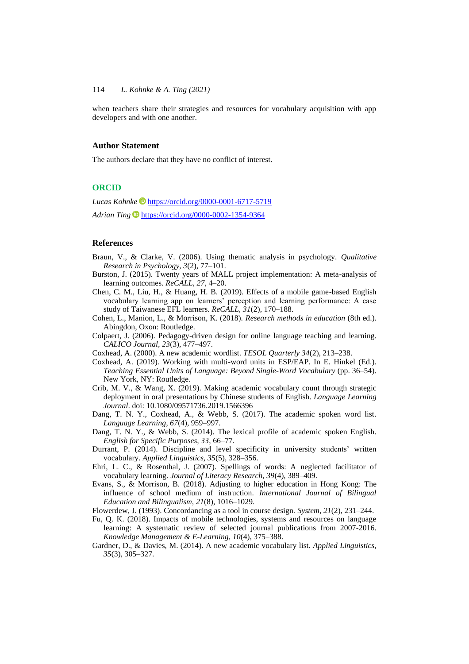when teachers share their strategies and resources for vocabulary acquisition with app developers and with one another.

#### **Author Statement**

The authors declare that they have no conflict of interest.

#### **ORCID**

*Lucas Kohnke* <https://orcid.org/0000-0001-6717-5719>

Adrian Ting<sup>1</sup> <https://orcid.org/0000-0002-1354-9364>

### **References**

- Braun, V., & Clarke, V. (2006). Using thematic analysis in psychology. *Qualitative Research in Psychology, 3*(2), 77–101.
- Burston, J. (2015). Twenty years of MALL project implementation: A meta-analysis of learning outcomes. *ReCALL, 27*, 4–20.
- Chen, C. M., Liu, H., & Huang, H. B. (2019). Effects of a mobile game-based English vocabulary learning app on learners' perception and learning performance: A case study of Taiwanese EFL learners. *ReCALL, 31*(2), 170–188.
- Cohen, L., Manion, L., & Morrison, K. (2018). *Research methods in education* (8th ed.). Abingdon, Oxon: Routledge.
- Colpaert, J. (2006). Pedagogy-driven design for online language teaching and learning. *CALICO Journal, 23*(3), 477–497.
- Coxhead, A. (2000). A new academic wordlist. *TESOL Quarterly 34*(2), 213–238.
- Coxhead, A. (2019). Working with multi-word units in ESP/EAP. In E. Hinkel (Ed.). *Teaching Essential Units of Language: Beyond Single-Word Vocabulary* (pp. 36–54). New York, NY: Routledge.
- Crib, M. V., & Wang, X. (2019). Making academic vocabulary count through strategic deployment in oral presentations by Chinese students of English. *Language Learning Journal*. doi: 10.1080/09571736.2019.1566396
- Dang, T. N. Y., Coxhead, A., & Webb, S. (2017). The academic spoken word list. *Language Learning, 67*(4), 959–997.
- Dang, T. N. Y., & Webb, S. (2014). The lexical profile of academic spoken English. *English for Specific Purposes, 33*, 66–77.
- Durrant, P. (2014). Discipline and level specificity in university students' written vocabulary. *Applied Linguistics, 35*(5), 328–356.
- Ehri, L. C., & Rosenthal, J. (2007). Spellings of words: A neglected facilitator of vocabulary learning. *Journal of Literacy Research, 39*(4), 389–409.
- Evans, S., & Morrison, B. (2018). Adjusting to higher education in Hong Kong: The influence of school medium of instruction. *International Journal of Bilingual Education and Bilingualism, 21*(8), 1016–1029.
- Flowerdew, J. (1993). Concordancing as a tool in course design. *System, 21*(2), 231–244.
- Fu, Q. K. (2018). Impacts of mobile technologies, systems and resources on language learning: A systematic review of selected journal publications from 2007-2016. *Knowledge Management & E-Learning, 10*(4), 375–388.
- Gardner, D., & Davies, M. (2014). A new academic vocabulary list. *Applied Linguistics, 35*(3), 305–327.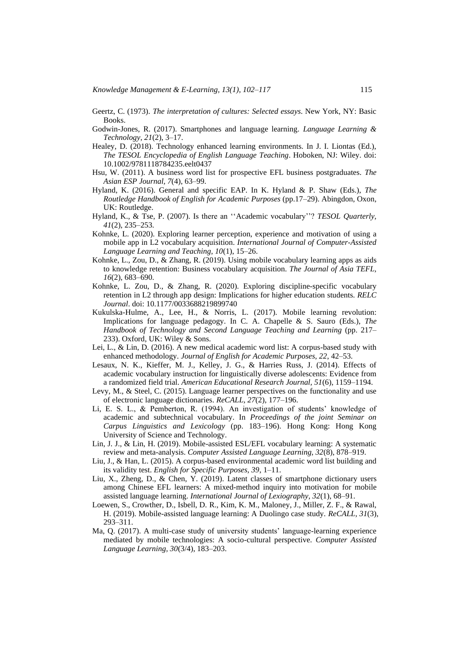- Geertz, C. (1973). *The interpretation of cultures: Selected essays*. New York, NY: Basic Books.
- Godwin-Jones, R. (2017). Smartphones and language learning. *Language Learning & Technology, 21*(2), 3–17.
- Healey, D. (2018). Technology enhanced learning environments. In J. I. Liontas (Ed.), *The TESOL Encyclopedia of English Language Teaching*. Hoboken, NJ: Wiley. doi: 10.1002/9781118784235.eelt0437
- Hsu, W. (2011). A business word list for prospective EFL business postgraduates. *The Asian ESP Journal, 7*(4), 63–99.
- Hyland, K. (2016). General and specific EAP. In K. Hyland & P. Shaw (Eds.), *The Routledge Handbook of English for Academic Purposes* (pp.17–29). Abingdon, Oxon, UK: Routledge.
- Hyland, K., & Tse, P. (2007). Is there an ''Academic vocabulary''? *TESOL Quarterly, 41*(2), 235–253.
- Kohnke, L. (2020). Exploring learner perception, experience and motivation of using a mobile app in L2 vocabulary acquisition. *International Journal of Computer-Assisted Language Learning and Teaching, 10*(1), 15–26.
- Kohnke, L., Zou, D., & Zhang, R. (2019). Using mobile vocabulary learning apps as aids to knowledge retention: Business vocabulary acquisition. *The Journal of Asia TEFL, 16*(2), 683–690.
- Kohnke, L. Zou, D., & Zhang, R. (2020). Exploring discipline-specific vocabulary retention in L2 through app design: Implications for higher education students. *RELC Journal*. doi: 10.1177/0033688219899740
- Kukulska-Hulme, A., Lee, H., & Norris, L. (2017). Mobile learning revolution: Implications for language pedagogy. In C. A. Chapelle & S. Sauro (Eds.), *The Handbook of Technology and Second Language Teaching and Learning* (pp. 217– 233). Oxford, UK: Wiley & Sons.
- Lei, L., & Lin, D. (2016). A new medical academic word list: A corpus-based study with enhanced methodology. *Journal of English for Academic Purposes, 22*, 42–53.
- Lesaux, N. K., Kieffer, M. J., Kelley, J. G., & Harries Russ, J. (2014). Effects of academic vocabulary instruction for linguistically diverse adolescents: Evidence from a randomized field trial. *American Educational Research Journal, 51*(6), 1159–1194.
- Levy, M., & Steel, C. (2015). Language learner perspectives on the functionality and use of electronic language dictionaries. *ReCALL, 27*(2), 177–196.
- Li, E. S. L., & Pemberton, R. (1994). An investigation of students' knowledge of academic and subtechnical vocabulary. In *Proceedings of the joint Seminar on Carpus Linguistics and Lexicology* (pp. 183–196). Hong Kong: Hong Kong University of Science and Technology.
- Lin, J. J., & Lin, H. (2019). Mobile-assisted ESL/EFL vocabulary learning: A systematic review and meta-analysis. *Computer Assisted Language Learning, 32*(8), 878–919.
- Liu, J., & Han, L. (2015). A corpus-based environmental academic word list building and its validity test. *English for Specific Purposes, 39*, 1–11.
- Liu, X., Zheng, D., & Chen, Y. (2019). Latent classes of smartphone dictionary users among Chinese EFL learners: A mixed-method inquiry into motivation for mobile assisted language learning. *International Journal of Lexiography, 32*(1), 68–91.
- Loewen, S., Crowther, D., Isbell, D. R., Kim, K. M., Maloney, J., Miller, Z. F., & Rawal, H. (2019). Mobile-assisted language learning: A Duolingo case study. *ReCALL, 31*(3), 293–311.
- Ma, Q. (2017). A multi-case study of university students' language-learning experience mediated by mobile technologies: A socio-cultural perspective. *Computer Assisted Language Learning, 30*(3/4), 183–203.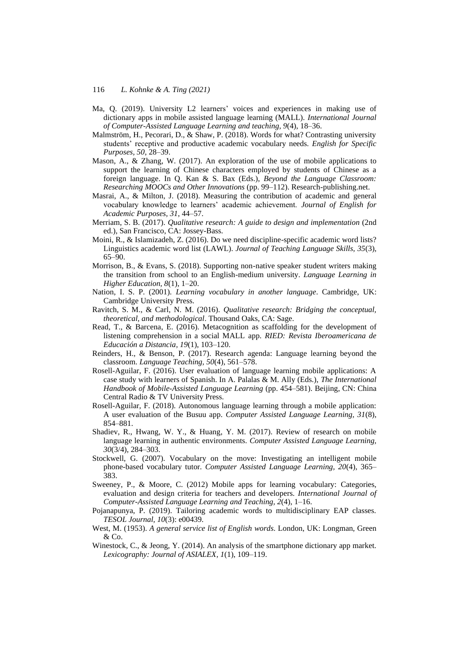- Ma, Q. (2019). University L2 learners' voices and experiences in making use of dictionary apps in mobile assisted language learning (MALL). *International Journal of Computer-Assisted Language Learning and teaching, 9*(4), 18–36.
- Malmström, H., Pecorari, D., & Shaw, P. (2018). Words for what? Contrasting university students' receptive and productive academic vocabulary needs. *English for Specific Purposes, 50*, 28–39.
- Mason, A., & Zhang, W. (2017). An exploration of the use of mobile applications to support the learning of Chinese characters employed by students of Chinese as a foreign language. In Q. Kan & S. Bax (Eds.), *Beyond the Language Classroom: Researching MOOCs and Other Innovations* (pp. 99–112). Research-publishing.net.
- Masrai, A., & Milton, J. (2018). Measuring the contribution of academic and general vocabulary knowledge to learners' academic achievement. *Journal of English for Academic Purposes, 31*, 44–57.
- Merriam, S. B. (2017). *Qualitative research: A guide to design and implementation* (2nd ed.), San Francisco, CA: Jossey-Bass.
- Moini, R., & Islamizadeh, Z. (2016). Do we need discipline-specific academic word lists? Linguistics academic word list (LAWL). *Journal of Teaching Language Skills, 35*(3), 65–90.
- Morrison, B., & Evans, S. (2018). Supporting non-native speaker student writers making the transition from school to an English-medium university. *Language Learning in Higher Education, 8*(1), 1–20.
- Nation, I. S. P. (2001). *Learning vocabulary in another language*. Cambridge, UK: Cambridge University Press.
- Ravitch, S. M., & Carl, N. M. (2016). *Qualitative research: Bridging the conceptual, theoretical, and methodological*. Thousand Oaks, CA: Sage.
- Read, T., & Barcena, E. (2016). Metacognition as scaffolding for the development of listening comprehension in a social MALL app. *RIED: Revista Iberoamericana de Educación a Distancia, 19*(1), 103–120.
- Reinders, H., & Benson, P. (2017). Research agenda: Language learning beyond the classroom. *Language Teaching, 50*(4), 561–578.
- Rosell-Aguilar, F. (2016). User evaluation of language learning mobile applications: A case study with learners of Spanish. In A. Palalas & M. Ally (Eds.), *The International Handbook of Mobile-Assisted Language Learning* (pp. 454–581). Beijing, CN: China Central Radio & TV University Press.
- Rosell-Aguilar, F. (2018). Autonomous language learning through a mobile application: A user evaluation of the Busuu app. *Computer Assisted Language Learning, 31*(8), 854–881.
- Shadiev, R., Hwang, W. Y., & Huang, Y. M. (2017). Review of research on mobile language learning in authentic environments. *Computer Assisted Language Learning, 30*(3/4), 284–303.
- Stockwell, G. (2007). Vocabulary on the move: Investigating an intelligent mobile phone-based vocabulary tutor. *Computer Assisted Language Learning, 20*(4), 365– 383.
- Sweeney, P., & Moore, C. (2012) Mobile apps for learning vocabulary: Categories, evaluation and design criteria for teachers and developers. *International Journal of Computer-Assisted Language Learning and Teaching, 2*(4), 1–16.
- Pojanapunya, P. (2019). Tailoring academic words to multidisciplinary EAP classes. *TESOL Journal, 10*(3): e00439.
- West, M. (1953). *A general service list of English words*. London, UK: Longman, Green & Co.
- Winestock, C., & Jeong, Y. (2014). An analysis of the smartphone dictionary app market. *Lexicography: Journal of ASIALEX, 1*(1), 109–119.